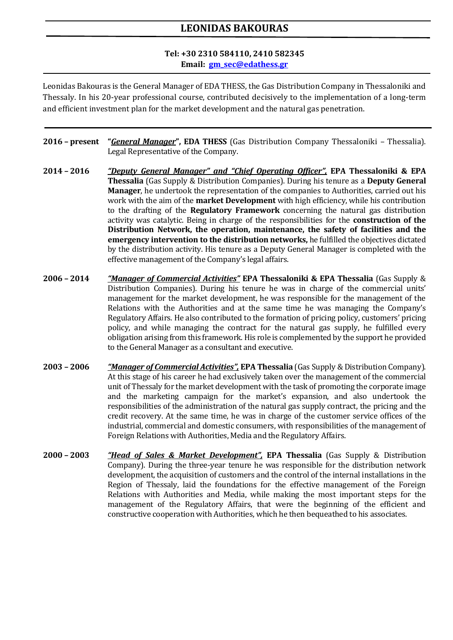## **LEONIDAS BAKOURAS**

## **Tel: +30 2310 584110, 2410 582345 Email: gm\_sec@edathess.gr**

Leonidas Bakouras is the General Manager of EDA THESS, the Gas Distribution Company in Thessaloniki and Thessaly. In his 20-year professional course, contributed decisively to the implementation of a long-term and efficient investment plan for the market development and the natural gas penetration.

- **2016 – present "***General Manager***", EDA THESS** (Gas Distribution Company Thessaloniki Thessalia). Legal Representative of the Company.
- **2014 – 2016** *"Deputy General Manager" and "Chief Operating Officer",* **EPA Thessaloniki & EPA Thessalia** (Gas Supply & Distribution Companies). During his tenure as a **Deputy General Manager**, he undertook the representation of the companies to Authorities, carried out his work with the aim of the **market Development** with high efficiency, while his contribution to the drafting of the **Regulatory Framework** concerning the natural gas distribution activity was catalytic. Being in charge of the responsibilities for the **construction of the Distribution Network, the operation, maintenance, the safety of facilities and the emergency intervention to the distribution networks,** he fulfilled the objectives dictated by the distribution activity. His tenure as a Deputy General Manager is completed with the effective management of the Company's legal affairs.
- **2006 – 2014** *"Manager of Commercial Activities"* **EPA Thessaloniki & EPA Thessalia** (Gas Supply & Distribution Companies). During his tenure he was in charge of the commercial units' management for the market development, he was responsible for the management of the Relations with the Authorities and at the same time he was managing the Company's Regulatory Affairs. He also contributed to the formation of pricing policy, customers' pricing policy, and while managing the contract for the natural gas supply, he fulfilled every obligation arising from this framework. His role is complemented by the support he provided to the General Manager as a consultant and executive.
- **2003 – 2006** *"Manager of Commercial Activities",* **EPA Thessalia** (Gas Supply & Distribution Company). At this stage of his career he had exclusively taken over the management of the commercial unit of Thessaly for the market development with the task of promoting the corporate image and the marketing campaign for the market's expansion, and also undertook the responsibilities of the administration of the natural gas supply contract, the pricing and the credit recovery. At the same time, he was in charge of the customer service offices of the industrial, commercial and domestic consumers, with responsibilities of the management of Foreign Relations with Authorities, Media and the Regulatory Affairs.
- **2000 – 2003** *"Head of Sales & Market Development",* **EPA Thessalia** (Gas Supply & Distribution Company). During the three-year tenure he was responsible for the distribution network development, the acquisition of customers and the control of the internal installations in the Region of Thessaly, laid the foundations for the effective management of the Foreign Relations with Authorities and Media, while making the most important steps for the management of the Regulatory Affairs, that were the beginning of the efficient and constructive cooperation with Authorities, which he then bequeathed to his associates.